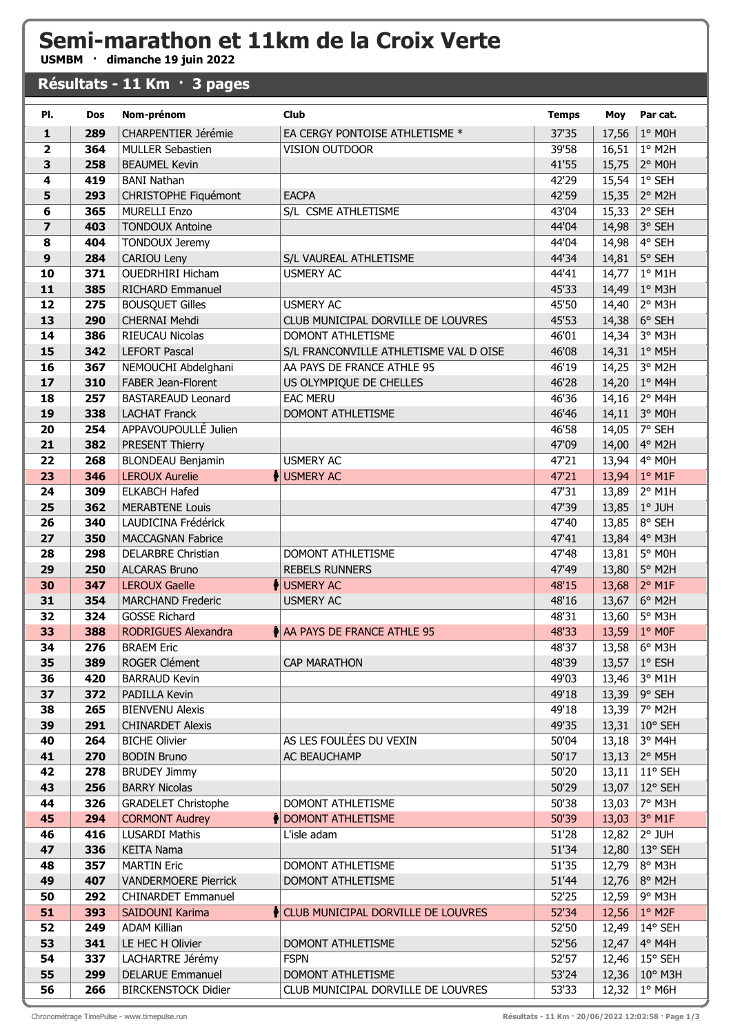## **Semi-marathon et 11km de la Croix Verte**

**USMBM · dimanche 19 juin 2022**

## **Résultats - 11 Km · 3 pages**

| PI.                     | Dos        | Nom-prénom                                     | <b>Club</b>                            | <b>Temps</b>   | Moy            | Par cat.           |
|-------------------------|------------|------------------------------------------------|----------------------------------------|----------------|----------------|--------------------|
| $\mathbf{1}$            | 289        | CHARPENTIER Jérémie                            | EA CERGY PONTOISE ATHLETISME *         | 37'35          | 17,56          | 1° MOH             |
| $\overline{2}$          | 364        | <b>MULLER Sebastien</b>                        | VISION OUTDOOR                         | 39'58          | 16,51          | 1° M2H             |
| 3                       | 258        | <b>BEAUMEL Kevin</b>                           |                                        | 41'55          | 15,75          | 2° MOH             |
| 4                       | 419        | <b>BANI Nathan</b>                             |                                        | 42'29          | 15,54          | 1° SEH             |
| 5                       | 293        | <b>CHRISTOPHE Fiquémont</b>                    | <b>EACPA</b>                           | 42'59          | 15,35          | 2° M2H             |
| 6                       | 365        | <b>MURELLI Enzo</b>                            | S/L CSME ATHLETISME                    | 43'04          | 15,33          | 2° SEH             |
| $\overline{\mathbf{z}}$ | 403        | <b>TONDOUX Antoine</b>                         |                                        | 44'04          | 14,98          | 3° SEH             |
| 8                       | 404        | <b>TONDOUX Jeremy</b>                          |                                        | 44'04          | 14,98          | 4° SEH             |
| $\boldsymbol{9}$        | 284        | CARIOU Leny                                    | S/L VAUREAL ATHLETISME                 | 44'34          | 14,81          | 5° SEH             |
| 10                      | 371        | <b>OUEDRHIRI Hicham</b>                        | <b>USMERY AC</b>                       | 44'41          | 14,77          | $1°$ M1H           |
| 11                      | 385        | RICHARD Emmanuel                               |                                        | 45'33          | 14,49          | $1°$ M3H           |
| 12                      | 275        | <b>BOUSQUET Gilles</b>                         | <b>USMERY AC</b>                       | 45'50          | 14,40          | 2° M3H             |
| 13                      | 290        | <b>CHERNAI Mehdi</b>                           | CLUB MUNICIPAL DORVILLE DE LOUVRES     | 45'53          | 14,38          | 6° SEH             |
| 14                      | 386        | RIEUCAU Nicolas                                | DOMONT ATHLETISME                      | 46'01          | 14,34          | 3° M3H             |
| 15                      | 342        | <b>LEFORT Pascal</b>                           | S/L FRANCONVILLE ATHLETISME VAL D OISE | 46'08          | 14,31          | 1° M5H             |
| 16                      | 367        | NEMOUCHI Abdelghani                            | AA PAYS DE FRANCE ATHLE 95             | 46'19          | 14,25          | 3° M2H             |
| 17                      | 310        | <b>FABER Jean-Florent</b>                      | US OLYMPIQUE DE CHELLES                | 46'28          | 14,20          | $1°$ M4H           |
| 18                      | 257        | <b>BASTAREAUD Leonard</b>                      | <b>EAC MERU</b>                        | 46'36          | 14,16          | 2° M4H             |
| 19                      | 338        | <b>LACHAT Franck</b><br>APPAVOUPOULLÉ Julien   | DOMONT ATHLETISME                      | 46'46          | 14,11          | 3° MOH<br>7° SEH   |
| 20<br>21                | 254<br>382 |                                                |                                        | 46'58<br>47'09 | 14,05<br>14,00 | 4° M2H             |
| 22                      | 268        | PRESENT Thierry<br><b>BLONDEAU Benjamin</b>    | <b>USMERY AC</b>                       | 47'21          | 13,94          | 4° MOH             |
| 23                      | 346        | <b>LEROUX Aurelie</b>                          | USMERY AC                              | 47'21          | 13,94          | $1°$ M1F           |
| 24                      | 309        | <b>ELKABCH Hafed</b>                           |                                        | 47'31          | 13,89          | 2° M1H             |
| 25                      | 362        | <b>MERABTENE Louis</b>                         |                                        | 47'39          | 13,85          | 1° JUH             |
| 26                      | 340        | LAUDICINA Frédérick                            |                                        | 47'40          | 13,85          | 8° SEH             |
| 27                      | 350        | <b>MACCAGNAN Fabrice</b>                       |                                        | 47'41          | 13,84          | 4° M3H             |
| 28                      | 298        | <b>DELARBRE Christian</b>                      | DOMONT ATHLETISME                      | 47'48          | 13,81          | 5° MOH             |
| 29                      | 250        | <b>ALCARAS Bruno</b>                           | <b>REBELS RUNNERS</b>                  | 47'49          | 13,80          | 5° M2H             |
| 30                      | 347        | <b>LEROUX Gaelle</b>                           | USMERY AC                              | 48'15          | 13,68          | $2°$ M1F           |
| 31                      | 354        | <b>MARCHAND Frederic</b>                       | <b>USMERY AC</b>                       | 48'16          | 13,67          | 6° M2H             |
| 32                      | 324        | <b>GOSSE Richard</b>                           |                                        | 48'31          | 13,60          | 5° M3H             |
| 33                      | 388        | <b>RODRIGUES Alexandra</b>                     | A PAYS DE FRANCE ATHLE 95              | 48'33          | 13,59          | 1° MOF             |
| 34                      | 276        | <b>BRAEM Eric</b>                              |                                        | 48'37          | 13,58          | 6° M3H             |
| 35                      | 389        | ROGER Clément                                  | <b>CAP MARATHON</b>                    | 48'39          | 13,57          | 1° ESH             |
| 36                      | 420        | <b>BARRAUD Kevin</b>                           |                                        | 49'03          | 13,46          | 3° M1H             |
| 37                      | 372        | PADILLA Kevin                                  |                                        | 49'18          | 13,39          | 9° SEH             |
| 38                      | 265        | <b>BIENVENU Alexis</b>                         |                                        | 49'18          | 13,39          | 7° M2H             |
| 39                      | 291        | <b>CHINARDET Alexis</b>                        |                                        | 49'35          | 13,31          | 10° SEH            |
| 40                      | 264        | <b>BICHE Olivier</b>                           | AS LES FOULÉES DU VEXIN                | 50'04          | 13,18          | 3° M4H             |
| 41                      | 270        | <b>BODIN Bruno</b>                             | AC BEAUCHAMP                           | 50'17          | 13,13          | $2°$ M5H           |
| 42                      | 278        | <b>BRUDEY Jimmy</b>                            |                                        | 50'20          | 13,11          | 11° SEH            |
| 43                      | 256        | <b>BARRY Nicolas</b>                           |                                        | 50'29          | 13,07          | 12° SEH            |
| 44                      | 326        | <b>GRADELET Christophe</b>                     | DOMONT ATHLETISME                      | 50'38          | 13,03          | 7° M3H             |
| 45                      | 294<br>416 | <b>CORMONT Audrey</b><br><b>LUSARDI Mathis</b> | DOMONT ATHLETISME                      | 50'39<br>51'28 | 13,03          | $3°$ M1F<br>2° JUH |
| 46<br>47                | 336        | <b>KEITA Nama</b>                              | L'isle adam                            | 51'34          | 12,82<br>12,80 | 13° SEH            |
| 48                      | 357        | <b>MARTIN Eric</b>                             | DOMONT ATHLETISME                      | 51'35          | 12,79          | 8° M3H             |
| 49                      | 407        | <b>VANDERMOERE Pierrick</b>                    | DOMONT ATHLETISME                      | 51'44          | 12,76          | 8° M2H             |
| 50                      | 292        | <b>CHINARDET Emmanuel</b>                      |                                        | 52'25          | 12,59          | 9° M3H             |
| 51                      | 393        | SAIDOUNI Karima                                | CLUB MUNICIPAL DORVILLE DE LOUVRES     | 52'34          | 12,56          | $1°$ M2F           |
| 52                      | 249        | <b>ADAM Killian</b>                            |                                        | 52'50          | 12,49          | 14° SEH            |
| 53                      | 341        | LE HEC H Olivier                               | DOMONT ATHLETISME                      | 52'56          | 12,47          | 4° M4H             |
| 54                      | 337        | LACHARTRE Jérémy                               | <b>FSPN</b>                            | 52'57          | 12,46          | 15° SEH            |
| 55                      | 299        | <b>DELARUE Emmanuel</b>                        | DOMONT ATHLETISME                      | 53'24          | 12,36          | 10° M3H            |
| 56                      | 266        | <b>BIRCKENSTOCK Didier</b>                     | CLUB MUNICIPAL DORVILLE DE LOUVRES     | 53'33          | 12,32          | $1^\circ$ M6H      |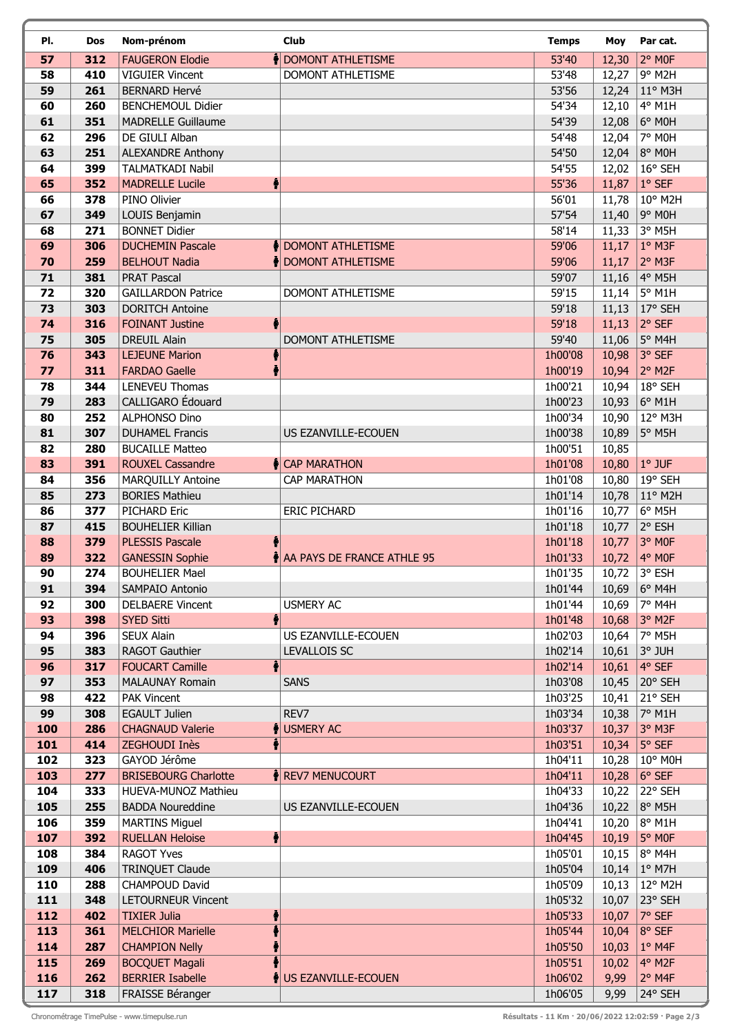| PI.        | Dos        | Nom-prénom                                       | <b>Club</b>                                   | <b>Temps</b>       | Moy            | Par cat.            |
|------------|------------|--------------------------------------------------|-----------------------------------------------|--------------------|----------------|---------------------|
| 57         | 312        | <b>FAUGERON Elodie</b>                           | DOMONT ATHLETISME                             | 53'40              | 12,30          | 2° MOF              |
| 58         | 410        | <b>VIGUIER Vincent</b>                           | DOMONT ATHLETISME                             | 53'48              | 12,27          | 9° M2H              |
| 59         | 261        | <b>BERNARD Hervé</b>                             |                                               | 53'56              | 12,24          | 11° M3H             |
| 60         | 260        | <b>BENCHEMOUL Didier</b>                         |                                               | 54'34              | 12,10          | 4° M1H              |
| 61         | 351        | <b>MADRELLE Guillaume</b>                        |                                               | 54'39              | 12,08          | 6° MOH              |
| 62         | 296        | DE GIULI Alban                                   |                                               | 54'48              | 12,04          | 7° MOH              |
| 63         | 251        | <b>ALEXANDRE Anthony</b>                         |                                               | 54'50              | 12,04          | 8° MOH              |
| 64         | 399        | <b>TALMATKADI Nabil</b>                          |                                               | 54'55              | 12,02          | 16° SEH             |
| 65         | 352        | <b>MADRELLE Lucile</b>                           |                                               | 55'36              | 11,87          | $1°$ SEF            |
| 66         | 378        | PINO Olivier                                     |                                               | 56'01              | 11,78          | 10° M2H             |
| 67         | 349        | LOUIS Benjamin                                   |                                               | 57'54              | 11,40          | 9° M0H              |
| 68         | 271<br>306 | <b>BONNET Didier</b>                             |                                               | 58'14<br>59'06     | 11,33          | 3° M5H<br>1° M3F    |
| 69<br>70   | 259        | <b>DUCHEMIN Pascale</b><br><b>BELHOUT Nadia</b>  | DOMONT ATHLETISME<br><b>NOMONT ATHLETISME</b> | 59'06              | 11,17<br>11,17 | 2° M3F              |
| 71         | 381        | <b>PRAT Pascal</b>                               |                                               | 59'07              | 11,16          | 4° M5H              |
| 72         | 320        | <b>GAILLARDON Patrice</b>                        | DOMONT ATHLETISME                             | 59'15              | 11,14          | 5° M1H              |
| 73         | 303        | <b>DORITCH Antoine</b>                           |                                               | 59'18              | 11,13          | 17° SEH             |
| 74         | 316        | <b>FOINANT Justine</b>                           |                                               | 59'18              | 11,13          | 2° SEF              |
| 75         | 305        | <b>DREUIL Alain</b>                              | DOMONT ATHLETISME                             | 59'40              | 11,06          | 5° M4H              |
| 76         | 343        | <b>LEJEUNE Marion</b>                            |                                               | 1h00'08            | 10,98          | 3° SEF              |
| 77         | 311        | <b>FARDAO Gaelle</b>                             |                                               | 1h00'19            | 10,94          | 2° M2F              |
| 78         | 344        | <b>LENEVEU Thomas</b>                            |                                               | 1h00'21            | 10,94          | 18° SEH             |
| 79         | 283        | CALLIGARO Édouard                                |                                               | 1h00'23            | 10,93          | 6° M1H              |
| 80         | 252        | ALPHONSO Dino                                    |                                               | 1h00'34            | 10,90          | 12° M3H             |
| 81         | 307        | <b>DUHAMEL Francis</b>                           | US EZANVILLE-ECOUEN                           | 1h00'38            | 10,89          | 5° M5H              |
| 82         | 280        | <b>BUCAILLE Matteo</b>                           |                                               | 1h00'51            | 10,85          |                     |
| 83         | 391        | <b>ROUXEL Cassandre</b>                          | <b>CAP MARATHON</b>                           | 1h01'08            | 10,80          | $1°$ JUF            |
| 84         | 356        | MARQUILLY Antoine                                | <b>CAP MARATHON</b>                           | 1h01'08            | 10,80          | 19° SEH             |
| 85         | 273        | <b>BORIES Mathieu</b>                            |                                               | 1h01'14            | 10,78          | 11° M2H             |
| 86         | 377        | PICHARD Eric                                     | <b>ERIC PICHARD</b>                           | 1h01'16            | 10,77          | $6^{\circ}$ M5H     |
| 87         | 415        | <b>BOUHELIER Killian</b>                         |                                               | 1h01'18<br>1h01'18 | 10,77          | 2° ESH              |
| 88<br>89   | 379<br>322 | <b>PLESSIS Pascale</b><br><b>GANESSIN Sophie</b> | A PAYS DE FRANCE ATHLE 95                     | 1h01'33            | 10,77<br>10,72 | 3° MOF<br>4° MOF    |
| 90         | 274        | <b>BOUHELIER Mael</b>                            |                                               | 1h01'35            | 10,72          | 3° ESH              |
| 91         | 394        | SAMPAIO Antonio                                  |                                               | 1h01'44            | 10,69          | $6°$ M4H            |
| 92         | 300        | <b>DELBAERE Vincent</b>                          | <b>USMERY AC</b>                              | 1h01'44            | 10,69          | 7° M4H              |
| 93         | 398        | ٠<br><b>SYED Sitti</b>                           |                                               | 1h01'48            | 10,68          | 3° M <sub>2F</sub>  |
| 94         | 396        | SEUX Alain                                       | US EZANVILLE-ECOUEN                           | 1h02'03            | 10,64          | 7° M5H              |
| 95         | 383        | <b>RAGOT Gauthier</b>                            | LEVALLOIS SC                                  | 1h02'14            | 10,61          | 3° JUH              |
| 96         | 317        | ۰<br><b>FOUCART Camille</b>                      |                                               | 1h02'14            | 10,61          | 4° SEF              |
| 97         | 353        | <b>MALAUNAY Romain</b>                           | <b>SANS</b>                                   | 1h03'08            | 10,45          | 20° SEH             |
| 98         | 422        | <b>PAK Vincent</b>                               |                                               | 1h03'25            | 10,41          | 21° SEH             |
| 99         | 308        | <b>EGAULT Julien</b>                             | REV7                                          | 1h03'34            | 10,38          | 7° M1H              |
| 100        | 286        | <b>CHAGNAUD Valerie</b>                          | <b>USMERY AC</b>                              | 1h03'37            | 10,37          | 3° M3F              |
| 101        | 414        | ZEGHOUDI Inès                                    |                                               | 1h03'51            | 10,34          | 5° SEF              |
| 102<br>103 | 323<br>277 | GAYOD Jérôme<br><b>BRISEBOURG Charlotte</b>      | <b>REV7 MENUCOURT</b>                         | 1h04'11<br>1h04'11 | 10,28          | 10° M0H<br>6° SEF   |
| 104        | 333        | HUEVA-MUNOZ Mathieu                              |                                               | 1h04'33            | 10,28<br>10,22 | 22° SEH             |
| 105        | 255        | <b>BADDA Noureddine</b>                          | US EZANVILLE-ECOUEN                           | 1h04'36            | 10,22          | 8° M5H              |
| 106        | 359        | <b>MARTINS Miguel</b>                            |                                               | 1h04'41            | 10,20          | 8° M1H              |
| 107        | 392        | $\ddot{\bullet}$<br><b>RUELLAN Heloise</b>       |                                               | 1h04'45            | 10,19          | 5° MOF              |
| 108        | 384        | <b>RAGOT Yves</b>                                |                                               | 1h05'01            | 10,15          | 8° M4H              |
| 109        | 406        | TRINQUET Claude                                  |                                               | 1h05'04            | 10,14          | $1°$ M7H            |
| 110        | 288        | CHAMPOUD David                                   |                                               | 1h05'09            | 10,13          | 12° M2H             |
| 111        | 348        | LETOURNEUR Vincent                               |                                               | 1h05'32            | 10,07          | 23° SEH             |
| 112        | 402        | <b>TIXIER Julia</b>                              |                                               | 1h05'33            | 10,07          | 7° SEF              |
| 113        | 361        | <b>MELCHIOR Marielle</b>                         |                                               | 1h05'44            | 10,04          | 8° SEF              |
| 114        | 287        | <b>CHAMPION Nelly</b>                            |                                               | 1h05'50            | 10,03          | 1° M4F              |
| 115        | 269        | <b>BOCQUET Magali</b>                            |                                               | 1h05'51            | 10,02          | 4° M2F              |
| 116<br>117 | 262<br>318 | <b>BERRIER Isabelle</b><br>FRAISSE Béranger      | US EZANVILLE-ECOUEN                           | 1h06'02<br>1h06'05 | 9,99<br>9,99   | $2°$ M4F<br>24° SEH |
|            |            |                                                  |                                               |                    |                |                     |